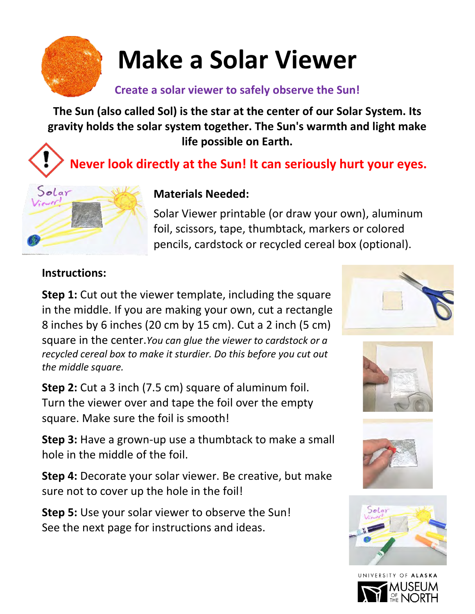

# **Make a Solar Viewer**

#### **Create a solar viewer to safely observe the Sun!**

**The Sun (also called Sol) is the star at the center of our Solar System. Its gravity holds the solar system together. The Sun's warmth and light make life possible on Earth.** 

### **Never look directly at the Sun! It can seriously hurt your eyes.**



#### **Materials Needed:**

Solar Viewer printable (or draw your own), aluminum foil, scissors, tape, thumbtack, markers or colored pencils, cardstock or recycled cereal box (optional).

#### **Instructions:**

**Step 1:** Cut out the viewer template, including the square in the middle. If you are making your own, cut a rectangle 8 inches by 6 inches (20 cm by 15 cm). Cut a 2 inch (5 cm) square in the center.*You can glue the viewer to cardstock or a recycled cereal box to make it sturdier. Do this before you cut out the middle square.*

**Step 2:** Cut a 3 inch (7.5 cm) square of aluminum foil. Turn the viewer over and tape the foil over the empty square. Make sure the foil is smooth!

**Step 3:** Have a grown-up use a thumbtack to make a small hole in the middle of the foil.

**Step 4:** Decorate your solar viewer. Be creative, but make sure not to cover up the hole in the foil!

**Step 5:** Use your solar viewer to observe the Sun! See the next page for instructions and ideas.









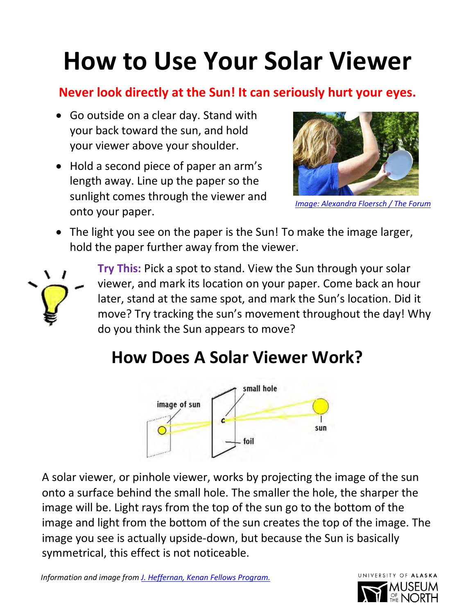# **How to Use Your Solar Viewer**

#### **Never look directly at the Sun! It can seriously hurt your eyes.**

- Go outside on a clear day. Stand with your back toward the sun, and hold your viewer above your shoulder.
- Hold a second piece of paper an arm's length away. Line up the paper so the sunlight comes through the viewer and onto your paper.



*[Image: Alexandra Floersch / The Forum](https://www.duluthnewstribune.com/opinion/4313399-3-easy-ways-view-eclipse-while-protecting-your-eyes)*

• The light you see on the paper is the Sun! To make the image larger, hold the paper further away from the viewer.



**Try This:** Pick a spot to stand. View the Sun through your solar viewer, and mark its location on your paper. Come back an hour later, stand at the same spot, and mark the Sun's location. Did it move? Try tracking the sun's movement throughout the day! Why do you think the Sun appears to move?

### **How Does A Solar Viewer Work?**



A solar viewer, or pinhole viewer, works by projecting the image of the sun onto a surface behind the small hole. The smaller the hole, the sharper the image will be. Light rays from the top of the sun go to the bottom of the image and light from the bottom of the sun creates the top of the image. The image you see is actually upside-down, but because the Sun is basically symmetrical, this effect is not noticeable.

*Information and image from [J. Heffernan, Kenan Fellows Program.](https://kenanfellows.org/kfp-cp-sites/earth-sun-moon/index-7206.php.html)*

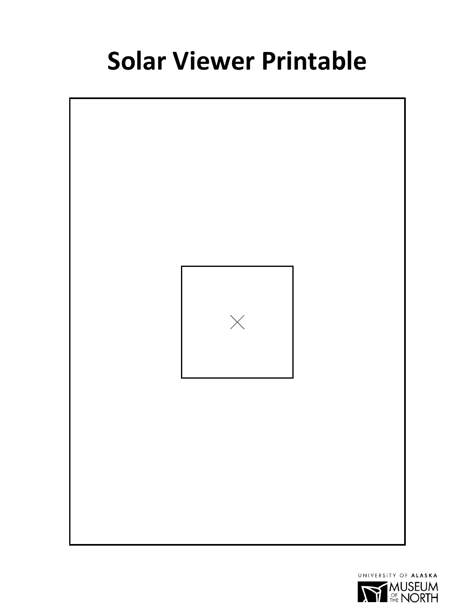### **Solar Viewer Printable**